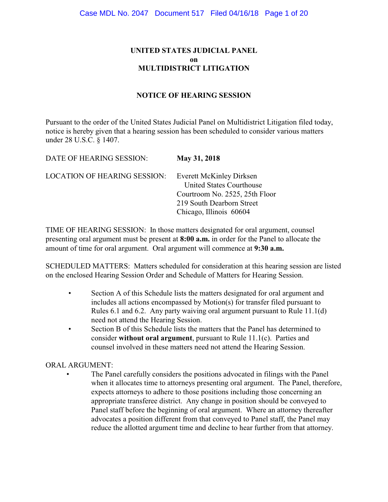## **UNITED STATES JUDICIAL PANEL on MULTIDISTRICT LITIGATION**

#### **NOTICE OF HEARING SESSION**

Pursuant to the order of the United States Judicial Panel on Multidistrict Litigation filed today, notice is hereby given that a hearing session has been scheduled to consider various matters under 28 U.S.C. § 1407.

| DATE OF HEARING SESSION:            | May 31, 2018                                                                                                                                          |
|-------------------------------------|-------------------------------------------------------------------------------------------------------------------------------------------------------|
| <b>LOCATION OF HEARING SESSION:</b> | <b>Everett McKinley Dirksen</b><br>United States Courthouse<br>Courtroom No. 2525, 25th Floor<br>219 South Dearborn Street<br>Chicago, Illinois 60604 |
|                                     |                                                                                                                                                       |

TIME OF HEARING SESSION: In those matters designated for oral argument, counsel presenting oral argument must be present at **8:00 a.m.** in order for the Panel to allocate the amount of time for oral argument. Oral argument will commence at **9:30 a.m.**

SCHEDULED MATTERS: Matters scheduled for consideration at this hearing session are listed on the enclosed Hearing Session Order and Schedule of Matters for Hearing Session.

- Section A of this Schedule lists the matters designated for oral argument and includes all actions encompassed by Motion(s) for transfer filed pursuant to Rules 6.1 and 6.2. Any party waiving oral argument pursuant to Rule 11.1(d) need not attend the Hearing Session.
- Section B of this Schedule lists the matters that the Panel has determined to consider **without oral argument**, pursuant to Rule 11.1(c). Parties and counsel involved in these matters need not attend the Hearing Session.

#### ORAL ARGUMENT:

 • The Panel carefully considers the positions advocated in filings with the Panel when it allocates time to attorneys presenting oral argument. The Panel, therefore, expects attorneys to adhere to those positions including those concerning an appropriate transferee district. Any change in position should be conveyed to Panel staff before the beginning of oral argument. Where an attorney thereafter advocates a position different from that conveyed to Panel staff, the Panel may reduce the allotted argument time and decline to hear further from that attorney.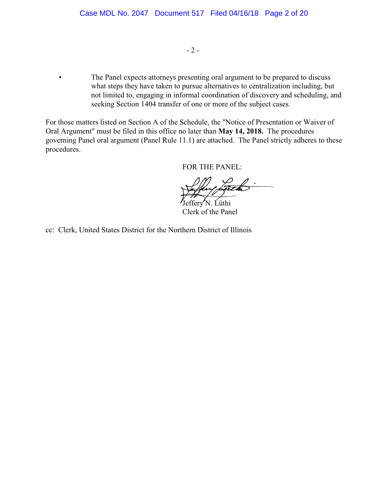$-2-$ 

• The Panel expects attorneys presenting oral argument to be prepared to discuss what steps they have taken to pursue alternatives to centralization including, but not limited to, engaging in informal coordination of discovery and scheduling, and seeking Section 1404 transfer of one or more of the subject cases.

For those matters listed on Section A of the Schedule, the "Notice of Presentation or Waiver of Oral Argument" must be filed in this office no later than **May 14, 2018.** The procedures governing Panel oral argument (Panel Rule 11.1) are attached. The Panel strictly adheres to these procedures.

FOR THE PANEL:

ferv<sup>'</sup>N. Lüthi

Clerk of the Panel

cc: Clerk, United States District for the Northern District of Illinois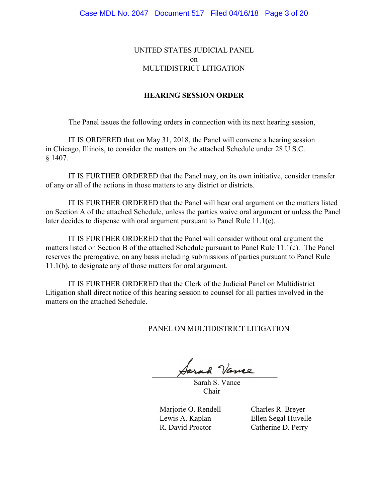#### UNITED STATES JUDICIAL PANEL on MULTIDISTRICT LITIGATION

#### **HEARING SESSION ORDER**

The Panel issues the following orders in connection with its next hearing session,

IT IS ORDERED that on May 31, 2018, the Panel will convene a hearing session in Chicago, Illinois, to consider the matters on the attached Schedule under 28 U.S.C. § 1407.

IT IS FURTHER ORDERED that the Panel may, on its own initiative, consider transfer of any or all of the actions in those matters to any district or districts.

IT IS FURTHER ORDERED that the Panel will hear oral argument on the matters listed on Section A of the attached Schedule, unless the parties waive oral argument or unless the Panel later decides to dispense with oral argument pursuant to Panel Rule 11.1(c).

IT IS FURTHER ORDERED that the Panel will consider without oral argument the matters listed on Section B of the attached Schedule pursuant to Panel Rule 11.1(c). The Panel reserves the prerogative, on any basis including submissions of parties pursuant to Panel Rule 11.1(b), to designate any of those matters for oral argument.

IT IS FURTHER ORDERED that the Clerk of the Judicial Panel on Multidistrict Litigation shall direct notice of this hearing session to counsel for all parties involved in the matters on the attached Schedule.

PANEL ON MULTIDISTRICT LITIGATION

\_\_\_\_\_\_\_\_\_\_\_\_\_\_\_\_\_\_\_\_\_\_\_\_\_\_\_\_\_\_\_\_\_

 Sarah S. Vance Chair

Marjorie O. Rendell Charles R. Breyer Lewis A. Kaplan Ellen Segal Huvelle R. David Proctor Catherine D. Perry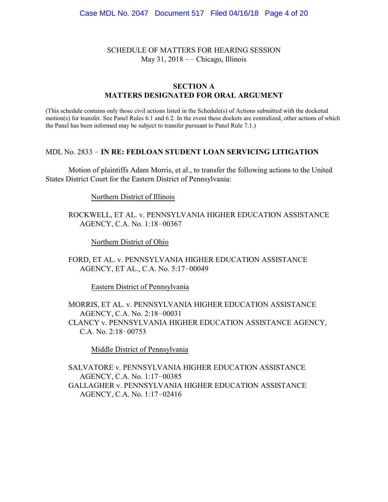#### SCHEDULE OF MATTERS FOR HEARING SESSION May 31, 2018  $-$  Chicago, Illinois

#### **SECTION A MATTERS DESIGNATED FOR ORAL ARGUMENT**

(This schedule contains only those civil actions listed in the Schedule(s) of Actions submitted with the docketed motion(s) for transfer. See Panel Rules 6.1 and 6.2. In the event these dockets are centralized, other actions of which the Panel has been informed may be subject to transfer pursuant to Panel Rule 7.1.)

#### MDL No. 2833 ! **IN RE: FEDLOAN STUDENT LOAN SERVICING LITIGATION**

Motion of plaintiffs Adam Morris, et al., to transfer the following actions to the United States District Court for the Eastern District of Pennsylvania:

#### Northern District of Illinois

ROCKWELL, ET AL. v. PENNSYLVANIA HIGHER EDUCATION ASSISTANCE AGENCY, C.A. No. 1:18-00367

Northern District of Ohio

FORD, ET AL. v. PENNSYLVANIA HIGHER EDUCATION ASSISTANCE AGENCY, ET AL., C.A. No. 5:17-00049

Eastern District of Pennsylvania

MORRIS, ET AL. v. PENNSYLVANIA HIGHER EDUCATION ASSISTANCE AGENCY, C.A. No. 2:18-00031 CLANCY v. PENNSYLVANIA HIGHER EDUCATION ASSISTANCE AGENCY,  $C.A. No. 2:18-00753$ 

Middle District of Pennsylvania

SALVATORE v. PENNSYLVANIA HIGHER EDUCATION ASSISTANCE AGENCY, C.A. No. 1:17-00385 GALLAGHER v. PENNSYLVANIA HIGHER EDUCATION ASSISTANCE AGENCY, C.A. No. 1:17-02416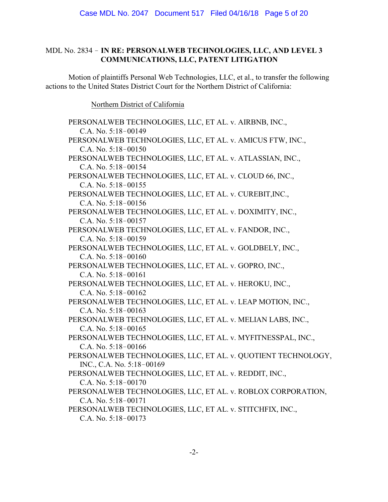# MDL No. 2834 ! **IN RE: PERSONALWEB TECHNOLOGIES, LLC, AND LEVEL 3 COMMUNICATIONS, LLC, PATENT LITIGATION**

Motion of plaintiffs Personal Web Technologies, LLC, et al., to transfer the following actions to the United States District Court for the Northern District of California:

Northern District of California

|                           | PERSONALWEB TECHNOLOGIES, LLC, ET AL. v. AIRBNB, INC.,        |
|---------------------------|---------------------------------------------------------------|
| C.A. No. 5:18-00149       |                                                               |
|                           | PERSONALWEB TECHNOLOGIES, LLC, ET AL. v. AMICUS FTW, INC.,    |
| C.A. No. 5:18-00150       |                                                               |
|                           | PERSONALWEB TECHNOLOGIES, LLC, ET AL. v. ATLASSIAN, INC.,     |
| C.A. No. $5:18-00154$     |                                                               |
|                           | PERSONALWEB TECHNOLOGIES, LLC, ET AL. v. CLOUD 66, INC.,      |
| C.A. No. 5:18-00155       |                                                               |
|                           | PERSONALWEB TECHNOLOGIES, LLC, ET AL. v. CUREBIT, INC.,       |
| C.A. No. $5:18-00156$     |                                                               |
|                           | PERSONALWEB TECHNOLOGIES, LLC, ET AL. v. DOXIMITY, INC.,      |
| C.A. No. 5:18-00157       |                                                               |
|                           | PERSONALWEB TECHNOLOGIES, LLC, ET AL. v. FANDOR, INC.,        |
| C.A. No. 5:18-00159       |                                                               |
|                           | PERSONALWEB TECHNOLOGIES, LLC, ET AL. v. GOLDBELY, INC.,      |
| C.A. No. 5:18-00160       |                                                               |
|                           | PERSONALWEB TECHNOLOGIES, LLC, ET AL. v. GOPRO, INC.,         |
| C.A. No. 5:18-00161       |                                                               |
|                           | PERSONALWEB TECHNOLOGIES, LLC, ET AL. v. HEROKU, INC.,        |
| C.A. No. 5:18-00162       |                                                               |
|                           | PERSONALWEB TECHNOLOGIES, LLC, ET AL. v. LEAP MOTION, INC.,   |
| C.A. No. $5:18-00163$     |                                                               |
|                           | PERSONALWEB TECHNOLOGIES, LLC, ET AL. v. MELIAN LABS, INC.,   |
| C.A. No. $5:18-00165$     |                                                               |
|                           | PERSONALWEB TECHNOLOGIES, LLC, ET AL. v. MYFITNESSPAL, INC.,  |
| C.A. No. 5:18-00166       |                                                               |
|                           | PERSONALWEB TECHNOLOGIES, LLC, ET AL. v. QUOTIENT TECHNOLOGY, |
| INC., C.A. No. 5:18-00169 |                                                               |
|                           | PERSONALWEB TECHNOLOGIES, LLC, ET AL. v. REDDIT, INC.,        |
| C.A. No. 5:18-00170       |                                                               |
|                           | PERSONALWEB TECHNOLOGIES, LLC, ET AL. v. ROBLOX CORPORATION,  |
| C.A. No. $5:18-00171$     |                                                               |
|                           | PERSONALWEB TECHNOLOGIES, LLC, ET AL. v. STITCHFIX, INC.,     |
| C.A. No. 5:18-00173       |                                                               |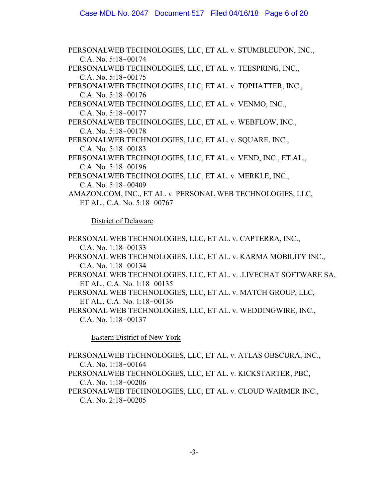PERSONALWEB TECHNOLOGIES, LLC, ET AL. v. STUMBLEUPON, INC., C.A. No. 5:18-00174 PERSONALWEB TECHNOLOGIES, LLC, ET AL. v. TEESPRING, INC., C.A. No.  $5:18-00175$ PERSONALWEB TECHNOLOGIES, LLC, ET AL. v. TOPHATTER, INC., C.A. No.  $5:18-00176$ PERSONALWEB TECHNOLOGIES, LLC, ET AL. v. VENMO, INC., C.A. No.  $5:18-00177$ PERSONALWEB TECHNOLOGIES, LLC, ET AL. v. WEBFLOW, INC., C.A. No.  $5:18-00178$ PERSONALWEB TECHNOLOGIES, LLC, ET AL. v. SQUARE, INC., C.A. No. 5:18-00183 PERSONALWEB TECHNOLOGIES, LLC, ET AL. v. VEND, INC., ET AL., C.A. No.  $5:18-00196$ PERSONALWEB TECHNOLOGIES, LLC, ET AL. v. MERKLE, INC., C.A. No. 5:18-00409 AMAZON.COM, INC., ET AL. v. PERSONAL WEB TECHNOLOGIES, LLC, ET AL., C.A. No. 5:18-00767

District of Delaware

PERSONAL WEB TECHNOLOGIES, LLC, ET AL. v. CAPTERRA, INC.,  $C.A. No. 1:18-00133$ PERSONAL WEB TECHNOLOGIES, LLC, ET AL. v. KARMA MOBILITY INC., C.A. No.  $1:18-00134$ PERSONAL WEB TECHNOLOGIES, LLC, ET AL. v. .LIVECHAT SOFTWARE SA, ET AL., C.A. No. 1:18-00135 PERSONAL WEB TECHNOLOGIES, LLC, ET AL. v. MATCH GROUP, LLC, ET AL., C.A. No. 1:18-00136 PERSONAL WEB TECHNOLOGIES, LLC, ET AL. v. WEDDINGWIRE, INC., C.A. No.  $1:18-00137$ 

Eastern District of New York

PERSONALWEB TECHNOLOGIES, LLC, ET AL. v. ATLAS OBSCURA, INC., C.A. No.  $1:18-00164$ 

PERSONALWEB TECHNOLOGIES, LLC, ET AL. v. KICKSTARTER, PBC, C.A. No.  $1:18-00206$ 

PERSONALWEB TECHNOLOGIES, LLC, ET AL. v. CLOUD WARMER INC., C.A. No.  $2:18-00205$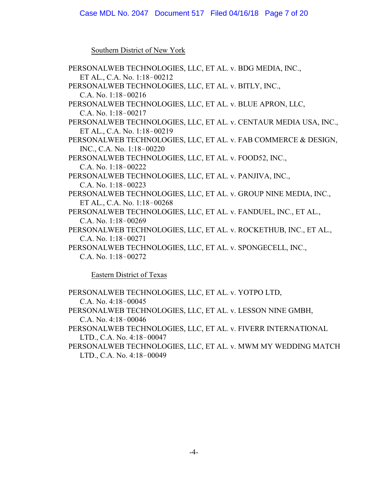Southern District of New York

PERSONALWEB TECHNOLOGIES, LLC, ET AL. v. BDG MEDIA, INC., ET AL., C.A. No. 1:18-00212 PERSONALWEB TECHNOLOGIES, LLC, ET AL. v. BITLY, INC., C.A. No.  $1:18-00216$ PERSONALWEB TECHNOLOGIES, LLC, ET AL. v. BLUE APRON, LLC, C.A. No. 1:18-00217 PERSONALWEB TECHNOLOGIES, LLC, ET AL. v. CENTAUR MEDIA USA, INC., ET AL., C.A. No. 1:18-00219 PERSONALWEB TECHNOLOGIES, LLC, ET AL. v. FAB COMMERCE & DESIGN, INC., C.A. No. 1:18-00220 PERSONALWEB TECHNOLOGIES, LLC, ET AL. v. FOOD52, INC., C.A. No. 1:18-00222 PERSONALWEB TECHNOLOGIES, LLC, ET AL. v. PANJIVA, INC., C.A. No. 1:18-00223 PERSONALWEB TECHNOLOGIES, LLC, ET AL. v. GROUP NINE MEDIA, INC., ET AL., C.A. No. 1:18-00268 PERSONALWEB TECHNOLOGIES, LLC, ET AL. v. FANDUEL, INC., ET AL., C.A. No. 1:18-00269 PERSONALWEB TECHNOLOGIES, LLC, ET AL. v. ROCKETHUB, INC., ET AL., C.A. No.  $1:18-00271$ PERSONALWEB TECHNOLOGIES, LLC, ET AL. v. SPONGECELL, INC., C.A. No.  $1:18-00272$ 

Eastern District of Texas

PERSONALWEB TECHNOLOGIES, LLC, ET AL. v. YOTPO LTD, C.A. No.  $4:18-00045$ 

PERSONALWEB TECHNOLOGIES, LLC, ET AL. v. LESSON NINE GMBH, C.A. No.  $4:18-00046$ 

PERSONALWEB TECHNOLOGIES, LLC, ET AL. v. FIVERR INTERNATIONAL LTD., C.A. No.  $4:18-00047$ 

PERSONALWEB TECHNOLOGIES, LLC, ET AL. v. MWM MY WEDDING MATCH LTD., C.A. No. 4:18-00049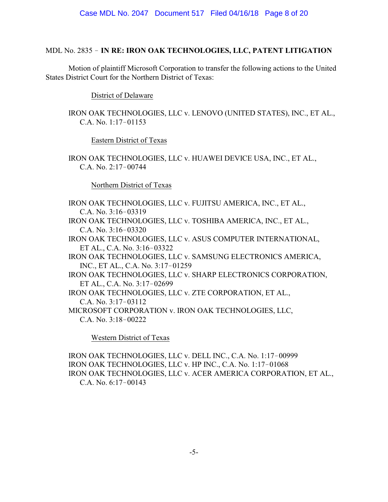## MDL No. 2835 ! **IN RE: IRON OAK TECHNOLOGIES, LLC, PATENT LITIGATION**

Motion of plaintiff Microsoft Corporation to transfer the following actions to the United States District Court for the Northern District of Texas:

District of Delaware

IRON OAK TECHNOLOGIES, LLC v. LENOVO (UNITED STATES), INC., ET AL., C.A. No.  $1:17-01153$ 

Eastern District of Texas

IRON OAK TECHNOLOGIES, LLC v. HUAWEI DEVICE USA, INC., ET AL., C.A. No.  $2:17-00744$ 

Northern District of Texas

IRON OAK TECHNOLOGIES, LLC v. FUJITSU AMERICA, INC., ET AL., C.A. No.  $3:16-03319$ IRON OAK TECHNOLOGIES, LLC v. TOSHIBA AMERICA, INC., ET AL., C.A. No.  $3:16-03320$ IRON OAK TECHNOLOGIES, LLC v. ASUS COMPUTER INTERNATIONAL, ET AL., C.A. No. 3:16-03322 IRON OAK TECHNOLOGIES, LLC v. SAMSUNG ELECTRONICS AMERICA, INC., ET AL., C.A. No. 3:17-01259 IRON OAK TECHNOLOGIES, LLC v. SHARP ELECTRONICS CORPORATION, ET AL., C.A. No. 3:17-02699 IRON OAK TECHNOLOGIES, LLC v. ZTE CORPORATION, ET AL.,  $C.A. No. 3:17-03112$ MICROSOFT CORPORATION v. IRON OAK TECHNOLOGIES, LLC, C.A. No. 3:18-00222

Western District of Texas

IRON OAK TECHNOLOGIES, LLC v. DELL INC., C.A. No. 1:17-00999 IRON OAK TECHNOLOGIES, LLC v. HP INC., C.A. No. 1:17-01068 IRON OAK TECHNOLOGIES, LLC v. ACER AMERICA CORPORATION, ET AL., C.A. No.  $6:17-00143$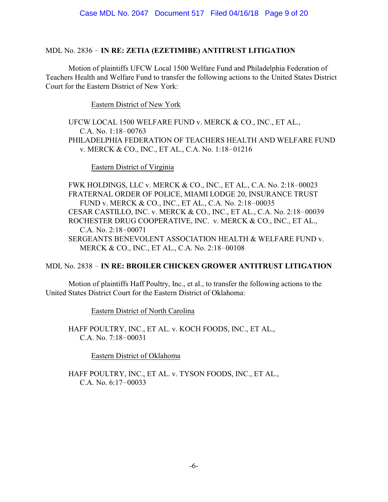#### MDL No. 2836 ! **IN RE: ZETIA (EZETIMIBE) ANTITRUST LITIGATION**

Motion of plaintiffs UFCW Local 1500 Welfare Fund and Philadelphia Federation of Teachers Health and Welfare Fund to transfer the following actions to the United States District Court for the Eastern District of New York:

Eastern District of New York

UFCW LOCAL 1500 WELFARE FUND v. MERCK & CO., INC., ET AL., C.A. No.  $1:18-00763$ PHILADELPHIA FEDERATION OF TEACHERS HEALTH AND WELFARE FUND v. MERCK & CO., INC., ET AL., C.A. No. 1:18-01216

Eastern District of Virginia

FWK HOLDINGS, LLC v. MERCK & CO., INC., ET AL., C.A. No. 2:18-00023 FRATERNAL ORDER OF POLICE, MIAMI LODGE 20, INSURANCE TRUST FUND v. MERCK & CO., INC., ET AL., C.A. No. 2:18-00035 CESAR CASTILLO, INC. v. MERCK & CO., INC., ET AL., C.A. No. 2:18-00039 ROCHESTER DRUG COOPERATIVE, INC. v. MERCK & CO., INC., ET AL., C.A. No.  $2:18-00071$ SERGEANTS BENEVOLENT ASSOCIATION HEALTH & WELFARE FUND v. MERCK & CO., INC., ET AL., C.A. No. 2:18-00108

### MDL No. 2838 ! **IN RE: BROILER CHICKEN GROWER ANTITRUST LITIGATION**

Motion of plaintiffs Haff Poultry, Inc., et al., to transfer the following actions to the United States District Court for the Eastern District of Oklahoma:

Eastern District of North Carolina

HAFF POULTRY, INC., ET AL. v. KOCH FOODS, INC., ET AL., C.A. No.  $7:18-00031$ 

Eastern District of Oklahoma

HAFF POULTRY, INC., ET AL. v. TYSON FOODS, INC., ET AL., C.A. No.  $6:17-00033$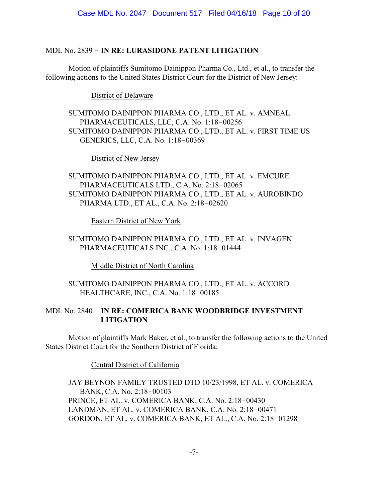### MDL No. 2839 ! **IN RE: LURASIDONE PATENT LITIGATION**

Motion of plaintiffs Sumitomo Dainippon Pharma Co., Ltd., et al., to transfer the following actions to the United States District Court for the District of New Jersey:

District of Delaware

SUMITOMO DAINIPPON PHARMA CO., LTD., ET AL. v. AMNEAL PHARMACEUTICALS, LLC, C.A. No. 1:18-00256 SUMITOMO DAINIPPON PHARMA CO., LTD., ET AL. v. FIRST TIME US GENERICS, LLC, C.A. No. 1:18-00369

District of New Jersey

SUMITOMO DAINIPPON PHARMA CO., LTD., ET AL. v. EMCURE PHARMACEUTICALS LTD., C.A. No. 2:18-02065 SUMITOMO DAINIPPON PHARMA CO., LTD., ET AL. v. AUROBINDO PHARMA LTD., ET AL., C.A. No. 2:18-02620

Eastern District of New York

### SUMITOMO DAINIPPON PHARMA CO., LTD., ET AL. v. INVAGEN PHARMACEUTICALS INC., C.A. No. 1:18-01444

Middle District of North Carolina

#### SUMITOMO DAINIPPON PHARMA CO., LTD., ET AL. v. ACCORD HEALTHCARE, INC., C.A. No. 1:18-00185

### MDL No. 2840 ! **IN RE: COMERICA BANK WOODBRIDGE INVESTMENT LITIGATION**

Motion of plaintiffs Mark Baker, et al., to transfer the following actions to the United States District Court for the Southern District of Florida:

Central District of California

JAY BEYNON FAMILY TRUSTED DTD 10/23/1998, ET AL. v. COMERICA BANK, C.A. No. 2:18-00103 PRINCE, ET AL. v. COMERICA BANK, C.A. No. 2:18-00430 LANDMAN, ET AL. v. COMERICA BANK, C.A. No. 2:18-00471 GORDON, ET AL. v. COMERICA BANK, ET AL., C.A. No. 2:18-01298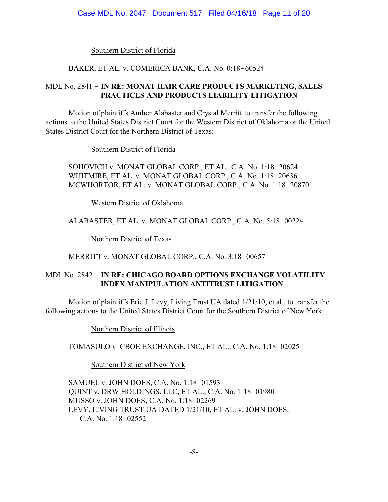#### Southern District of Florida

#### BAKER, ET AL. v. COMERICA BANK, C.A. No. 0:18-60524

### MDL No. 2841 ! **IN RE: MONAT HAIR CARE PRODUCTS MARKETING, SALES PRACTICES AND PRODUCTS LIABILITY LITIGATION**

Motion of plaintiffs Amber Alabaster and Crystal Merritt to transfer the following actions to the United States District Court for the Western District of Oklahoma or the United States District Court for the Northern District of Texas:

Southern District of Florida

SOHOVICH v. MONAT GLOBAL CORP., ET AL., C.A. No. 1:18-20624 WHITMIRE, ET AL. v. MONAT GLOBAL CORP., C.A. No. 1:18-20636 MCWHORTOR, ET AL. v. MONAT GLOBAL CORP., C.A. No. 1:18-20870

Western District of Oklahoma

ALABASTER, ET AL. v. MONAT GLOBAL CORP., C.A. No. 5:18-00224

Northern District of Texas

MERRITT v. MONAT GLOBAL CORP., C.A. No. 3:18-00657

### MDL No. 2842 ! **IN RE: CHICAGO BOARD OPTIONS EXCHANGE VOLATILITY INDEX MANIPULATION ANTITRUST LITIGATION**

Motion of plaintiffs Eric J. Levy, Living Trust UA dated 1/21/10, et al., to transfer the following actions to the United States District Court for the Southern District of New York:

Northern District of Illinois

TOMASULO v. CBOE EXCHANGE, INC., ET AL., C.A. No. 1:18-02025

Southern District of New York

SAMUEL v. JOHN DOES, C.A. No. 1:18-01593 QUINT v. DRW HOLDINGS, LLC, ET AL., C.A. No. 1:18-01980 MUSSO v. JOHN DOES, C.A. No. 1:18-02269 LEVY, LIVING TRUST UA DATED 1/21/10, ET AL. v. JOHN DOES, C.A. No.  $1:18-02552$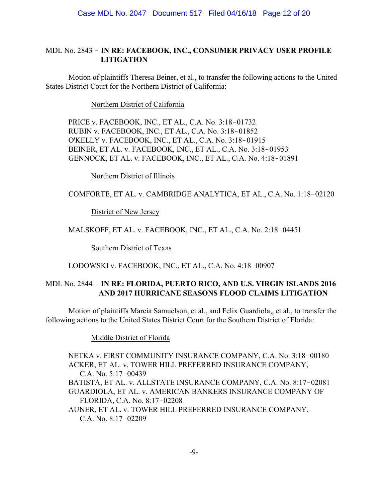## MDL No. 2843 ! **IN RE: FACEBOOK, INC., CONSUMER PRIVACY USER PROFILE LITIGATION**

Motion of plaintiffs Theresa Beiner, et al., to transfer the following actions to the United States District Court for the Northern District of California:

Northern District of California

PRICE v. FACEBOOK, INC., ET AL., C.A. No. 3:18-01732 RUBIN v. FACEBOOK, INC., ET AL., C.A. No. 3:18-01852 O'KELLY v. FACEBOOK, INC., ET AL., C.A. No. 3:18-01915 BEINER, ET AL. v. FACEBOOK, INC., ET AL., C.A. No. 3:18-01953 GENNOCK, ET AL. v. FACEBOOK, INC., ET AL., C.A. No. 4:18-01891

Northern District of Illinois

COMFORTE, ET AL. v. CAMBRIDGE ANALYTICA, ET AL., C.A. No. 1:18-02120

District of New Jersey

MALSKOFF, ET AL. v. FACEBOOK, INC., ET AL., C.A. No. 2:18-04451

Southern District of Texas

LODOWSKI v. FACEBOOK, INC., ET AL., C.A. No. 4:18-00907

### MDL No. 2844 ! **IN RE: FLORIDA, PUERTO RICO, AND U.S. VIRGIN ISLANDS 2016 AND 2017 HURRICANE SEASONS FLOOD CLAIMS LITIGATION**

Motion of plaintiffs Marcia Samuelson, et al., and Felix Guardiola,, et al., to transfer the following actions to the United States District Court for the Southern District of Florida:

Middle District of Florida

NETKA v. FIRST COMMUNITY INSURANCE COMPANY, C.A. No. 3:18-00180 ACKER, ET AL. v. TOWER HILL PREFERRED INSURANCE COMPANY, C.A. No.  $5:17-00439$ BATISTA, ET AL. v. ALLSTATE INSURANCE COMPANY, C.A. No. 8:17-02081 GUARDIOLA, ET AL. v. AMERICAN BANKERS INSURANCE COMPANY OF FLORIDA, C.A. No. 8:17-02208 AUNER, ET AL. v. TOWER HILL PREFERRED INSURANCE COMPANY, C.A. No. 8:17-02209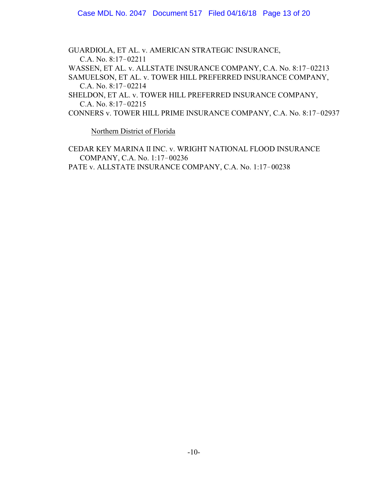GUARDIOLA, ET AL. v. AMERICAN STRATEGIC INSURANCE, C.A. No.  $8:17-02211$ WASSEN, ET AL. v. ALLSTATE INSURANCE COMPANY, C.A. No. 8:17-02213 SAMUELSON, ET AL. v. TOWER HILL PREFERRED INSURANCE COMPANY, C.A. No.  $8:17-02214$ 

SHELDON, ET AL. v. TOWER HILL PREFERRED INSURANCE COMPANY, C.A. No. 8:17-02215

CONNERS v. TOWER HILL PRIME INSURANCE COMPANY, C.A. No. 8:17-02937

Northern District of Florida

CEDAR KEY MARINA II INC. v. WRIGHT NATIONAL FLOOD INSURANCE COMPANY, C.A. No. 1:17-00236 PATE v. ALLSTATE INSURANCE COMPANY, C.A. No. 1:17-00238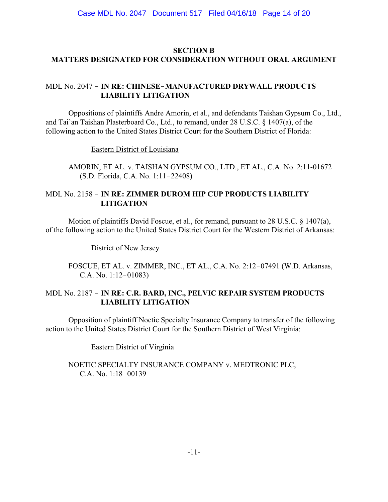## **SECTION B MATTERS DESIGNATED FOR CONSIDERATION WITHOUT ORAL ARGUMENT**

# MDL No. 2047 ! **IN RE: CHINESE**!**MANUFACTURED DRYWALL PRODUCTS LIABILITY LITIGATION**

Oppositions of plaintiffs Andre Amorin, et al., and defendants Taishan Gypsum Co., Ltd., and Tai'an Taishan Plasterboard Co., Ltd., to remand, under 28 U.S.C. § 1407(a), of the following action to the United States District Court for the Southern District of Florida:

Eastern District of Louisiana

AMORIN, ET AL. v. TAISHAN GYPSUM CO., LTD., ET AL., C.A. No. 2:11-01672  $(S.D. Florida, C.A. No. 1:11-22408)$ 

## MDL No. 2158 ! **IN RE: ZIMMER DUROM HIP CUP PRODUCTS LIABILITY LITIGATION**

Motion of plaintiffs David Foscue, et al., for remand, pursuant to 28 U.S.C. § 1407(a), of the following action to the United States District Court for the Western District of Arkansas:

District of New Jersey

FOSCUE, ET AL. v. ZIMMER, INC., ET AL., C.A. No. 2:12-07491 (W.D. Arkansas, C.A. No.  $1:12-01083$ )

### MDL No. 2187 ! **IN RE: C.R. BARD, INC., PELVIC REPAIR SYSTEM PRODUCTS LIABILITY LITIGATION**

Opposition of plaintiff Noetic Specialty Insurance Company to transfer of the following action to the United States District Court for the Southern District of West Virginia:

Eastern District of Virginia

### NOETIC SPECIALTY INSURANCE COMPANY v. MEDTRONIC PLC, C.A. No.  $1:18-00139$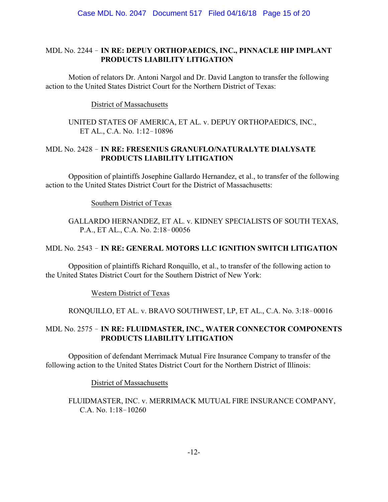## MDL No. 2244 ! **IN RE: DEPUY ORTHOPAEDICS, INC., PINNACLE HIP IMPLANT PRODUCTS LIABILITY LITIGATION**

Motion of relators Dr. Antoni Nargol and Dr. David Langton to transfer the following action to the United States District Court for the Northern District of Texas:

## District of Massachusetts

# UNITED STATES OF AMERICA, ET AL. v. DEPUY ORTHOPAEDICS, INC., ET AL., C.A. No. 1:12-10896

# MDL No. 2428 ! **IN RE: FRESENIUS GRANUFLO/NATURALYTE DIALYSATE PRODUCTS LIABILITY LITIGATION**

Opposition of plaintiffs Josephine Gallardo Hernandez, et al., to transfer of the following action to the United States District Court for the District of Massachusetts:

### Southern District of Texas

# GALLARDO HERNANDEZ, ET AL. v. KIDNEY SPECIALISTS OF SOUTH TEXAS, P.A., ET AL., C.A. No. 2:18-00056

# MDL No. 2543 ! **IN RE: GENERAL MOTORS LLC IGNITION SWITCH LITIGATION**

Opposition of plaintiffs Richard Ronquillo, et al., to transfer of the following action to the United States District Court for the Southern District of New York:

Western District of Texas

### RONQUILLO, ET AL. v. BRAVO SOUTHWEST, LP, ET AL., C.A. No. 3:18-00016

## MDL No. 2575 ! **IN RE: FLUIDMASTER, INC., WATER CONNECTOR COMPONENTS PRODUCTS LIABILITY LITIGATION**

Opposition of defendant Merrimack Mutual Fire Insurance Company to transfer of the following action to the United States District Court for the Northern District of Illinois:

District of Massachusetts

## FLUIDMASTER, INC. v. MERRIMACK MUTUAL FIRE INSURANCE COMPANY, C.A. No.  $1:18-10260$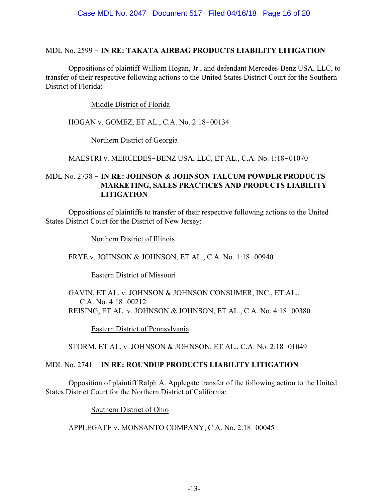#### MDL No. 2599 ! **IN RE: TAKATA AIRBAG PRODUCTS LIABILITY LITIGATION**

Oppositions of plaintiff William Hogan, Jr., and defendant Mercedes-Benz USA, LLC, to transfer of their respective following actions to the United States District Court for the Southern District of Florida:

Middle District of Florida

HOGAN v. GOMEZ, ET AL., C.A. No. 2:18-00134

Northern District of Georgia

## MAESTRI v. MERCEDES-BENZ USA, LLC, ET AL., C.A. No. 1:18-01070

## MDL No. 2738 ! **IN RE: JOHNSON & JOHNSON TALCUM POWDER PRODUCTS MARKETING, SALES PRACTICES AND PRODUCTS LIABILITY LITIGATION**

Oppositions of plaintiffs to transfer of their respective following actions to the United States District Court for the District of New Jersey:

Northern District of Illinois

FRYE v. JOHNSON & JOHNSON, ET AL., C.A. No. 1:18-00940

Eastern District of Missouri

GAVIN, ET AL. v. JOHNSON & JOHNSON CONSUMER, INC., ET AL., C.A. No.  $4:18-00212$ REISING, ET AL. v. JOHNSON & JOHNSON, ET AL., C.A. No. 4:18-00380

Eastern District of Pennsylvania

STORM, ET AL. v. JOHNSON & JOHNSON, ET AL., C.A. No. 2:18-01049

### MDL No. 2741 ! **IN RE: ROUNDUP PRODUCTS LIABILITY LITIGATION**

Opposition of plaintiff Ralph A. Applegate transfer of the following action to the United States District Court for the Northern District of California:

Southern District of Ohio

APPLEGATE v. MONSANTO COMPANY, C.A. No. 2:18-00045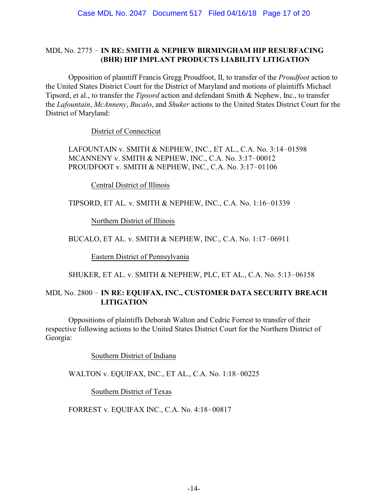## MDL No. 2775 ! **IN RE: SMITH & NEPHEW BIRMINGHAM HIP RESURFACING (BHR) HIP IMPLANT PRODUCTS LIABILITY LITIGATION**

Opposition of plaintiff Francis Gregg Proudfoot, II, to transfer of the *Proudfoot* action to the United States District Court for the District of Maryland and motions of plaintiffs Michael Tipsord, et al., to transfer the *Tipsord* action and defendant Smith & Nephew, Inc., to transfer the *Lafountain*, *McAnneny*, *Bucalo*, and *Shuker* actions to the United States District Court for the District of Maryland:

District of Connecticut

LAFOUNTAIN v. SMITH & NEPHEW, INC., ET AL., C.A. No. 3:14-01598 MCANNENY v. SMITH  $&$  NEPHEW, INC., C.A. No. 3:17-00012 PROUDFOOT v. SMITH & NEPHEW, INC., C.A. No. 3:17-01106

Central District of Illinois

TIPSORD, ET AL. v. SMITH & NEPHEW, INC., C.A. No. 1:16-01339

Northern District of Illinois

BUCALO, ET AL. v. SMITH & NEPHEW, INC., C.A. No. 1:17-06911

Eastern District of Pennsylvania

### SHUKER, ET AL. v. SMITH & NEPHEW, PLC, ET AL., C.A. No. 5:13-06158

## MDL No. 2800 ! **IN RE: EQUIFAX, INC., CUSTOMER DATA SECURITY BREACH LITIGATION**

Oppositions of plaintiffs Deborah Walton and Cedric Forrest to transfer of their respective following actions to the United States District Court for the Northern District of Georgia:

Southern District of Indiana

WALTON v. EQUIFAX, INC., ET AL., C.A. No. 1:18-00225

Southern District of Texas

FORREST v. EQUIFAX INC., C.A. No. 4:18-00817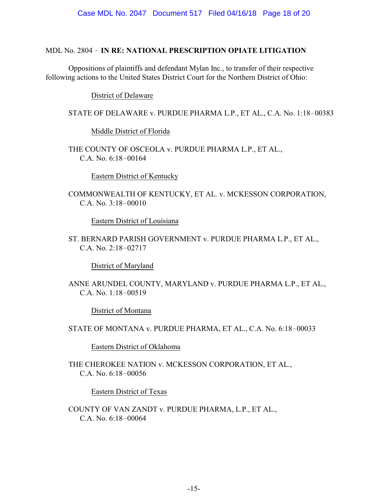#### MDL No. 2804 ! **IN RE: NATIONAL PRESCRIPTION OPIATE LITIGATION**

Oppositions of plaintiffs and defendant Mylan Inc., to transfer of their respective following actions to the United States District Court for the Northern District of Ohio:

District of Delaware

STATE OF DELAWARE v. PURDUE PHARMA L.P., ET AL., C.A. No. 1:18-00383

Middle District of Florida

THE COUNTY OF OSCEOLA v. PURDUE PHARMA L.P., ET AL., C.A. No.  $6:18-00164$ 

Eastern District of Kentucky

COMMONWEALTH OF KENTUCKY, ET AL. v. MCKESSON CORPORATION,  $C.A. No. 3:18-00010$ 

Eastern District of Louisiana

ST. BERNARD PARISH GOVERNMENT v. PURDUE PHARMA L.P., ET AL., C.A. No. 2:18-02717

District of Maryland

ANNE ARUNDEL COUNTY, MARYLAND v. PURDUE PHARMA L.P., ET AL., C.A. No.  $1:18-00519$ 

District of Montana

STATE OF MONTANA v. PURDUE PHARMA, ET AL., C.A. No. 6:18-00033

Eastern District of Oklahoma

THE CHEROKEE NATION v. MCKESSON CORPORATION, ET AL., C.A. No.  $6:18-00056$ 

Eastern District of Texas

COUNTY OF VAN ZANDT v. PURDUE PHARMA, L.P., ET AL., C.A. No.  $6:18-00064$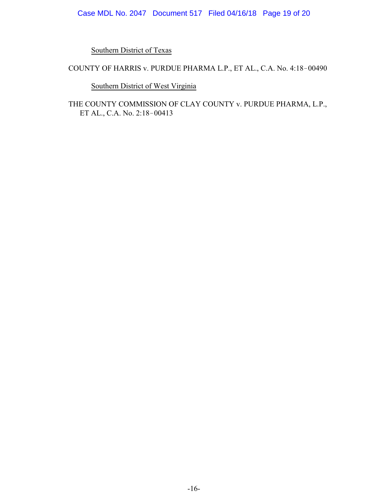#### Case MDL No. 2047 Document 517 Filed 04/16/18 Page 19 of 20

Southern District of Texas

## COUNTY OF HARRIS v. PURDUE PHARMA L.P., ET AL., C.A. No. 4:18-00490

Southern District of West Virginia

THE COUNTY COMMISSION OF CLAY COUNTY v. PURDUE PHARMA, L.P., ET AL., C.A. No. 2:18-00413